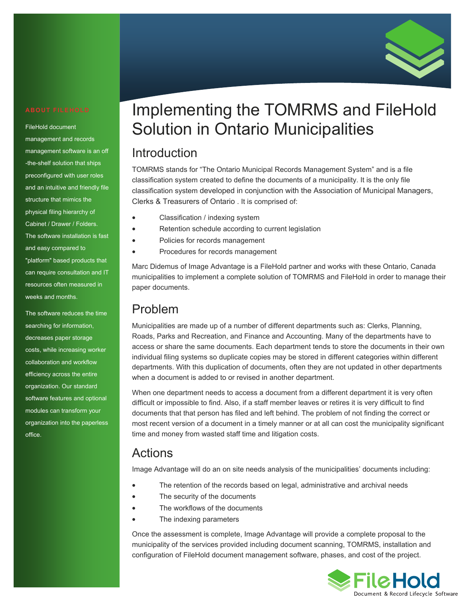

#### FileHold document

management and records management software is an off -the-shelf solution that ships preconfigured with user roles and an intuitive and friendly file structure that mimics the physical filing hierarchy of Cabinet / Drawer / Folders. The software installation is fast and easy compared to "platform" based products that can require consultation and IT resources often measured in weeks and months.

The software reduces the time searching for information, decreases paper storage costs, while increasing worker collaboration and workflow efficiency across the entire organization. Our standard software features and optional modules can transform your organization into the paperless office.

# Implementing the TOMRMS and FileHold Solution in Ontario Municipalities

### Introduction

TOMRMS stands for "The Ontario Municipal Records Management System" and is a file classification system created to define the documents of a municipality. It is the only file classification system developed in conjunction with the Association of Municipal Managers, Clerks & Treasurers of Ontario . It is comprised of:

- Classification / indexing system
- Retention schedule according to current legislation
- Policies for records management
- Procedures for records management

Marc Didemus of Image Advantage is a FileHold partner and works with these Ontario, Canada municipalities to implement a complete solution of TOMRMS and FileHold in order to manage their paper documents.

#### Problem

Municipalities are made up of a number of different departments such as: Clerks, Planning, Roads, Parks and Recreation, and Finance and Accounting. Many of the departments have to access or share the same documents. Each department tends to store the documents in their own individual filing systems so duplicate copies may be stored in different categories within different departments. With this duplication of documents, often they are not updated in other departments when a document is added to or revised in another department.

When one department needs to access a document from a different department it is very often difficult or impossible to find. Also, if a staff member leaves or retires it is very difficult to find documents that that person has filed and left behind. The problem of not finding the correct or most recent version of a document in a timely manner or at all can cost the municipality significant time and money from wasted staff time and litigation costs.

#### Actions

Image Advantage will do an on site needs analysis of the municipalities' documents including:

- The retention of the records based on legal, administrative and archival needs
- The security of the documents
- The workflows of the documents
- The indexing parameters

Once the assessment is complete, Image Advantage will provide a complete proposal to the municipality of the services provided including document scanning, TOMRMS, installation and configuration of FileHold document management software, phases, and cost of the project.